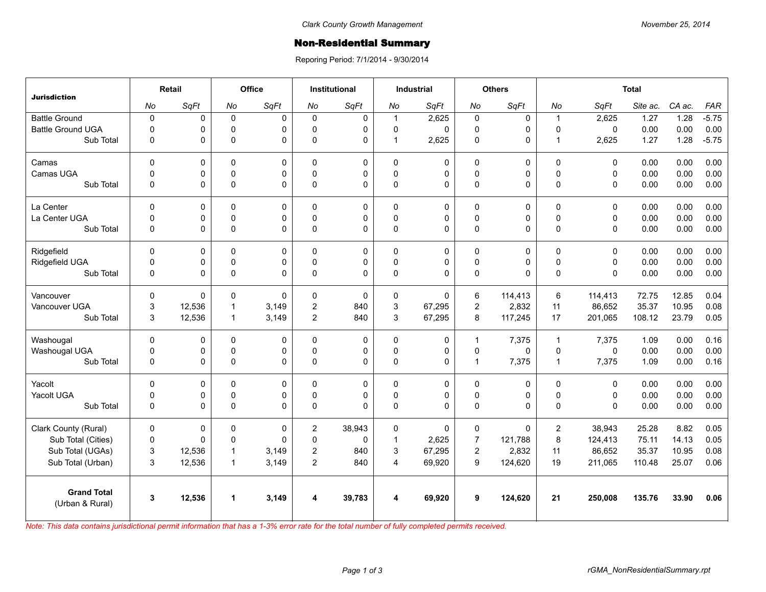## **Non-Residential Summary**

Reporing Period: 7/1/2014 - 9/30/2014

| <b>Jurisdiction</b>                   | Retail         |        | Office         |              | <b>Institutional</b> |          | <b>Industrial</b>       |             | <b>Others</b>       |          | <b>Total</b>   |             |          |        |            |
|---------------------------------------|----------------|--------|----------------|--------------|----------------------|----------|-------------------------|-------------|---------------------|----------|----------------|-------------|----------|--------|------------|
|                                       | No             | SqFt   | No             | SqFt         | No                   | SqFt     | No                      | SqFt        | No                  | SqFt     | No             | SqFt        | Site ac. | CA ac. | <b>FAR</b> |
| <b>Battle Ground</b>                  | $\pmb{0}$      | 0      | $\mathbf 0$    | $\Omega$     | $\Omega$             | 0        | $\overline{1}$          | 2,625       | $\pmb{0}$           | 0        | $\overline{1}$ | 2,625       | 1.27     | 1.28   | $-5.75$    |
| <b>Battle Ground UGA</b>              | $\Omega$       | 0      | $\mathbf 0$    | $\Omega$     | $\Omega$             | 0        | 0                       | $\Omega$    | $\mathbf 0$         | 0        | $\Omega$       | $\Omega$    | 0.00     | 0.00   | 0.00       |
| Sub Total                             | 0              | 0      | $\Omega$       | $\Omega$     | $\Omega$             | 0        | $\overline{1}$          | 2,625       | $\mathbf 0$         | 0        | $\overline{1}$ | 2,625       | 1.27     | 1.28   | $-5.75$    |
| Camas                                 | $\Omega$       | 0      | $\Omega$       | $\Omega$     | $\Omega$             | 0        | $\mathbf{0}$            | $\Omega$    | 0                   | $\Omega$ | $\mathbf{0}$   | $\Omega$    | 0.00     | 0.00   | 0.00       |
| Camas UGA                             | $\mathbf 0$    | 0      | $\pmb{0}$      | 0            | $\Omega$             | 0        | 0                       | 0           | $\mathbf 0$         | 0        | $\pmb{0}$      | 0           | 0.00     | 0.00   | 0.00       |
| Sub Total                             | $\mathbf{0}$   | 0      | $\pmb{0}$      | $\Omega$     | $\Omega$             | 0        | $\mathbf{0}$            | $\Omega$    | 0                   | 0        | $\Omega$       | $\Omega$    | 0.00     | 0.00   | 0.00       |
| La Center                             | $\mathbf 0$    | 0      | $\mathbf 0$    | 0            | $\Omega$             | 0        | $\mathbf 0$             | 0           | 0                   | 0        | $\mathbf 0$    | $\mathbf 0$ | 0.00     | 0.00   | 0.00       |
| La Center UGA                         | $\mathbf 0$    | 0      | $\mathbf 0$    | 0            | $\Omega$             | 0        | 0                       | 0           | $\mathbf 0$         | 0        | $\mathbf 0$    | $\mathbf 0$ | 0.00     | 0.00   | 0.00       |
| Sub Total                             | $\overline{0}$ | 0      | $\pmb{0}$      | $\mathbf 0$  | $\Omega$             | 0        | 0                       | $\mathbf 0$ | $\mathsf{O}\xspace$ | 0        | $\Omega$       | $\Omega$    | 0.00     | 0.00   | 0.00       |
| Ridgefield                            | $\Omega$       | 0      | 0              | $\Omega$     | 0                    | 0        | $\mathbf 0$             | 0           | 0                   | 0        | $\mathbf{0}$   | $\Omega$    | 0.00     | 0.00   | 0.00       |
| Ridgefield UGA                        | 0              | 0      | $\pmb{0}$      | 0            | $\mathbf{0}$         | 0        | 0                       | 0           | $\mathbf 0$         | 0        | $\pmb{0}$      | $\mathbf 0$ | 0.00     | 0.00   | 0.00       |
| Sub Total                             | $\mathbf 0$    | 0      | $\Omega$       | $\Omega$     | $\Omega$             | 0        | $\mathbf{0}$            | $\Omega$    | $\mathbf 0$         | 0        | $\Omega$       | $\Omega$    | 0.00     | 0.00   | 0.00       |
| Vancouver                             | $\Omega$       | 0      | $\Omega$       | $\mathbf{0}$ | $\Omega$             | $\Omega$ | 0                       | $\Omega$    | 6                   | 114.413  | 6              | 114,413     | 72.75    | 12.85  | 0.04       |
| Vancouver UGA                         | 3              | 12,536 | $\mathbf{1}$   | 3,149        | $\overline{c}$       | 840      | 3                       | 67,295      | $\overline{c}$      | 2,832    | 11             | 86,652      | 35.37    | 10.95  | 0.08       |
| Sub Total                             | 3              | 12,536 | $\mathbf{1}$   | 3,149        | $\overline{2}$       | 840      | 3                       | 67,295      | 8                   | 117,245  | 17             | 201,065     | 108.12   | 23.79  | 0.05       |
| Washougal                             | $\mathbf 0$    | 0      | 0              | 0            | 0                    | 0        | $\mathsf 0$             | 0           | $\mathbf{1}$        | 7,375    | $\overline{1}$ | 7,375       | 1.09     | 0.00   | 0.16       |
| Washougal UGA                         | 0              | 0      | $\mathbf 0$    | 0            | $\Omega$             | 0        | 0                       | 0           | $\mathbf 0$         | 0        | $\mathbf 0$    | $\Omega$    | 0.00     | 0.00   | 0.00       |
| Sub Total                             | 0              | 0      | $\pmb{0}$      | $\Omega$     | 0                    | 0        | 0                       | 0           | $\mathbf{1}$        | 7,375    | $\overline{1}$ | 7,375       | 1.09     | 0.00   | 0.16       |
| Yacolt                                | $\Omega$       | 0      | $\mathbf 0$    | $\Omega$     | $\Omega$             | 0        | $\mathbf 0$             | 0           | 0                   | 0        | $\mathbf 0$    | $\Omega$    | 0.00     | 0.00   | 0.00       |
| Yacolt UGA                            | 0              | 0      | 0              | 0            | $\Omega$             | 0        | 0                       | 0           | $\mathsf 0$         | 0        | $\pmb{0}$      | 0           | 0.00     | 0.00   | 0.00       |
| Sub Total                             | $\mathbf 0$    | 0      | $\Omega$       | $\Omega$     | $\Omega$             | $\Omega$ | $\mathbf{0}$            | $\Omega$    | 0                   | 0        | $\Omega$       | $\Omega$    | 0.00     | 0.00   | 0.00       |
| Clark County (Rural)                  | $\mathbf 0$    | 0      | $\pmb{0}$      | 0            | $\overline{c}$       | 38,943   | $\mathbf 0$             | 0           | 0                   | 0        | $\overline{c}$ | 38,943      | 25.28    | 8.82   | 0.05       |
| Sub Total (Cities)                    | $\mathbf 0$    | 0      | $\mathbf 0$    | $\Omega$     | $\mathbf{0}$         | 0        | $\mathbf{1}$            | 2,625       | $\overline{7}$      | 121,788  | 8              | 124,413     | 75.11    | 14.13  | 0.05       |
| Sub Total (UGAs)                      | 3              | 12,536 | $\overline{1}$ | 3,149        | $\overline{2}$       | 840      | 3                       | 67,295      | $\overline{c}$      | 2,832    | 11             | 86,652      | 35.37    | 10.95  | 0.08       |
| Sub Total (Urban)                     | 3              | 12,536 | $\overline{1}$ | 3,149        | $\overline{2}$       | 840      | $\overline{\mathbf{4}}$ | 69,920      | 9                   | 124,620  | 19             | 211,065     | 110.48   | 25.07  | 0.06       |
| <b>Grand Total</b><br>(Urban & Rural) | 3              | 12,536 | $\mathbf{1}$   | 3,149        | 4                    | 39,783   | 4                       | 69,920      | 9                   | 124,620  | 21             | 250,008     | 135.76   | 33.90  | 0.06       |
|                                       |                |        |                |              |                      |          |                         |             |                     |          |                |             |          |        |            |

*Note: This data contains jurisdictional permit information that has a 1-3% error rate for the total number of fully completed permits received.*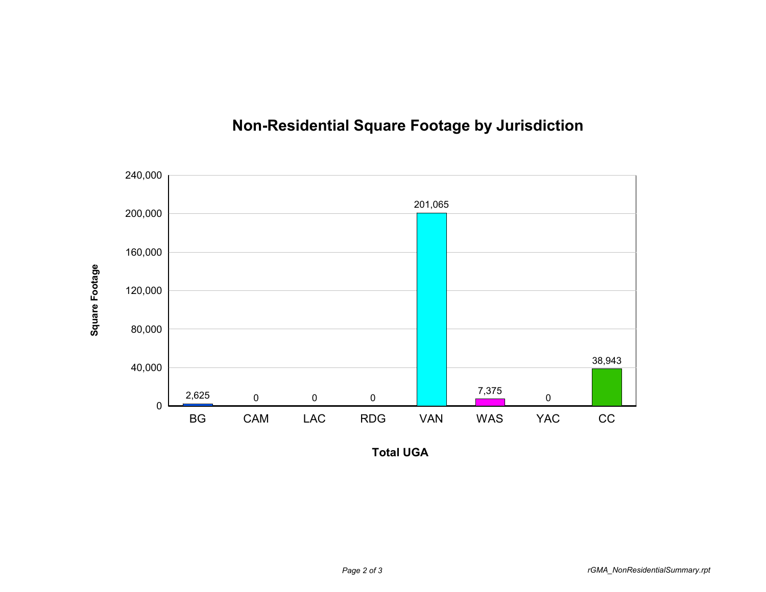

## **Non-Residential Square Footage by Jurisdiction**

**Total UGA**